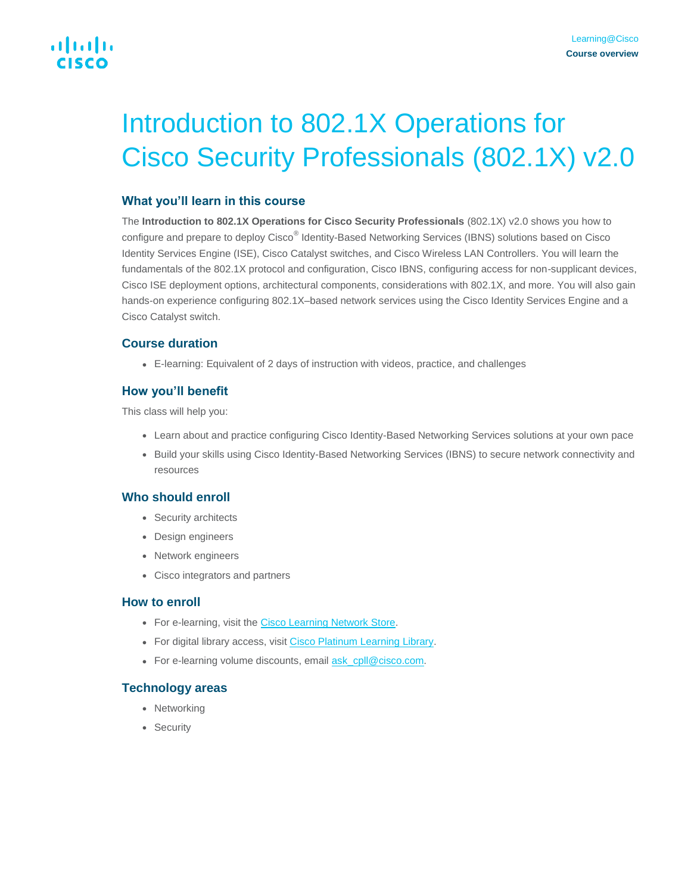# Introduction to 802.1X Operations for Cisco Security Professionals (802.1X) v2.0

## **What you'll learn in this course**

The **Introduction to 802.1X Operations for Cisco Security Professionals** (802.1X) v2.0 shows you how to configure and prepare to deploy Cisco® Identity-Based Networking Services (IBNS) solutions based on Cisco Identity Services Engine (ISE), Cisco Catalyst switches, and Cisco Wireless LAN Controllers. You will learn the fundamentals of the 802.1X protocol and configuration, Cisco IBNS, configuring access for non-supplicant devices, Cisco ISE deployment options, architectural components, considerations with 802.1X, and more. You will also gain hands-on experience configuring 802.1X–based network services using the Cisco Identity Services Engine and a Cisco Catalyst switch.

## **Course duration**

● E-learning: Equivalent of 2 days of instruction with videos, practice, and challenges

# **How you'll benefit**

This class will help you:

- Learn about and practice configuring Cisco Identity-Based Networking Services solutions at your own pace
- Build your skills using Cisco Identity-Based Networking Services (IBNS) to secure network connectivity and resources

## **Who should enroll**

- Security architects
- Design engineers
- Network engineers
- Cisco integrators and partners

## **How to enroll**

- For e-learning, visit the [Cisco Learning Network Store.](https://learningnetworkstore.cisco.com/on-demand-e-learning/introduction-to-802-1x-operations-for-cisco-security-professionals-802-1x-v2-0-elt-8021x-v2-022725)
- For digital library access, visit [Cisco Platinum Learning Library.](https://digital-learning.cisco.com/#/)
- For e-learning volume discounts, email [ask\\_cpll@cisco.com.](mailto:ask_cpll@cisco.com)

## **Technology areas**

- Networking
- Security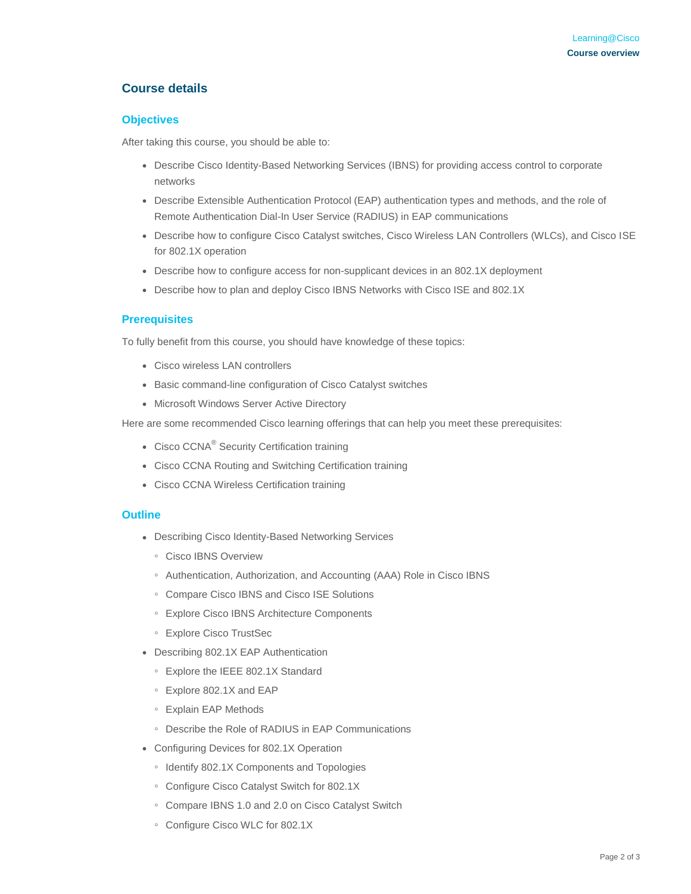# **Course details**

#### **Objectives**

After taking this course, you should be able to:

- Describe Cisco Identity-Based Networking Services (IBNS) for providing access control to corporate networks
- Describe Extensible Authentication Protocol (EAP) authentication types and methods, and the role of Remote Authentication Dial-In User Service (RADIUS) in EAP communications
- Describe how to configure Cisco Catalyst switches, Cisco Wireless LAN Controllers (WLCs), and Cisco ISE for 802.1X operation
- Describe how to configure access for non-supplicant devices in an 802.1X deployment
- Describe how to plan and deploy Cisco IBNS Networks with Cisco ISE and 802.1X

#### **Prerequisites**

To fully benefit from this course, you should have knowledge of these topics:

- Cisco wireless LAN controllers
- Basic command-line configuration of Cisco Catalyst switches
- Microsoft Windows Server Active Directory

Here are some recommended Cisco learning offerings that can help you meet these prerequisites:

- Cisco CCNA<sup>®</sup> Security Certification training
- Cisco CCNA Routing and Switching Certification training
- Cisco CCNA Wireless Certification training

#### **Outline**

- Describing Cisco Identity-Based Networking Services
	- Cisco IBNS Overview
	- Authentication, Authorization, and Accounting (AAA) Role in Cisco IBNS
	- Compare Cisco IBNS and Cisco ISE Solutions
	- Explore Cisco IBNS Architecture Components
	- Explore Cisco TrustSec
- Describing 802.1X EAP Authentication
	- Explore the IEEE 802.1X Standard
	- Explore 802.1X and EAP
	- Explain EAP Methods
	- Describe the Role of RADIUS in EAP Communications
- Configuring Devices for 802.1X Operation
	- Identify 802.1X Components and Topologies
	- Configure Cisco Catalyst Switch for 802.1X
	- Compare IBNS 1.0 and 2.0 on Cisco Catalyst Switch
	- Configure Cisco WLC for 802.1X